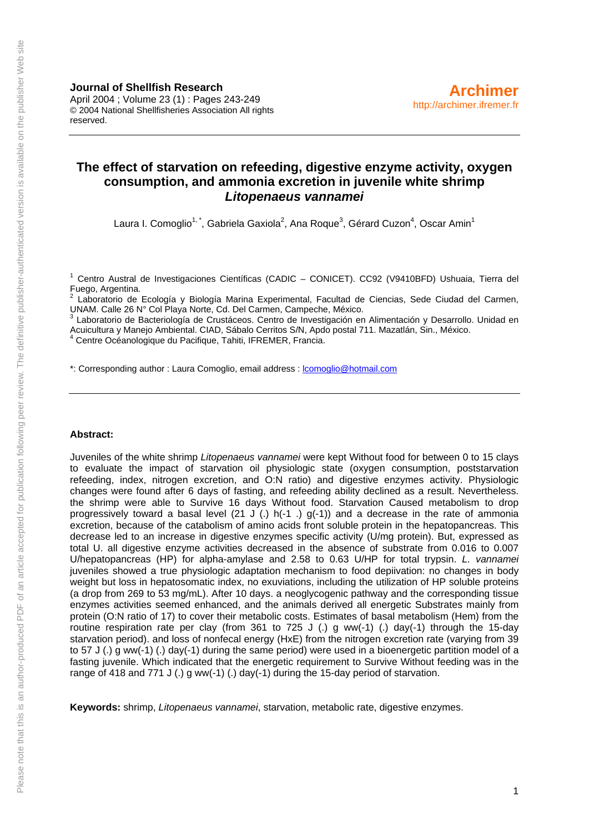**Journal of Shellfish Research**  April 2004 ; Volume 23 (1) : Pages 243-249 © 2004 National Shellfisheries Association All rights reserved.

## **The effect of starvation on refeeding, digestive enzyme activity, oxygen consumption, and ammonia excretion in juvenile white shrimp**  *Litopenaeus vannamei*

Laura I. Comoglio<sup>1, \*</sup>, Gabriela Gaxiola<sup>2</sup>, Ana Roque<sup>3</sup>, Gérard Cuzon<sup>4</sup>, Oscar Amin<sup>1</sup>

<sup>1</sup> Centro Austral de Investigaciones Científicas (CADIC – CONICET). CC92 (V9410BFD) Ushuaia, Tierra del Fuego, Argentina.<br><sup>2</sup> Leberataria de l

 Laboratorio de Ecología y Biología Marina Experimental, Facultad de Ciencias, Sede Ciudad del Carmen, UNAM. Calle 26 N° Col Playa Norte, Cd. Del Carmen, Campeche, México.

<sup>3</sup> Laboratorio de Bacteriología de Crustáceos. Centro de Investigación en Alimentación y Desarrollo. Unidad en Acuicultura y Manejo Ambiental. CIAD, Sábalo Cerritos S/N, Apdo postal 711. Mazatlán, Sin., México. 4

Centre Océanologique du Pacifique, Tahiti, IFREMER, Francia.

\*: Corresponding author : Laura Comoglio, email address : [lcomoglio@hotmail.com](mailto::lcomoglio@hotmail.com)

#### **Abstract:**

Juveniles of the white shrimp *Litopenaeus vannamei* were kept Without food for between 0 to 15 clays to evaluate the impact of starvation oil physiologic state (oxygen consumption, poststarvation refeeding, index, nitrogen excretion, and O:N ratio) and digestive enzymes activity. Physiologic changes were found after 6 days of fasting, and refeeding ability declined as a result. Nevertheless. the shrimp were able to Survive 16 days Without food. Starvation Caused metabolism to drop progressively toward a basal level (21 J (.)  $h(-1)$  g(-1)) and a decrease in the rate of ammonia excretion, because of the catabolism of amino acids front soluble protein in the hepatopancreas. This decrease led to an increase in digestive enzymes specific activity (U/mg protein). But, expressed as total U. all digestive enzyme activities decreased in the absence of substrate from 0.016 to 0.007 U/hepatopancreas (HP) for alpha-amylase and 2.58 to 0.63 U/HP for total trypsin. *L. vannamei* juveniles showed a true physiologic adaptation mechanism to food depiivation: no changes in body weight but loss in hepatosomatic index, no exuviations, including the utilization of HP soluble proteins (a drop from 269 to 53 mg/mL). After 10 days. a neoglycogenic pathway and the corresponding tissue enzymes activities seemed enhanced, and the animals derived all energetic Substrates mainly from protein (O:N ratio of 17) to cover their metabolic costs. Estimates of basal metabolism (Hem) from the routine respiration rate per clay (from 361 to 725 J (.) g ww(-1) (.) day(-1) through the 15-day starvation period). and loss of nonfecal energy (HxE) from the nitrogen excretion rate (varying from 39 to 57 J (.) g ww(-1) (.) day(-1) during the same period) were used in a bioenergetic partition model of a fasting juvenile. Which indicated that the energetic requirement to Survive Without feeding was in the range of 418 and 771 J (.) g ww(-1) (.) day(-1) during the 15-day period of starvation.

**Keywords:** shrimp, *Litopenaeus vannamei*, starvation, metabolic rate, digestive enzymes.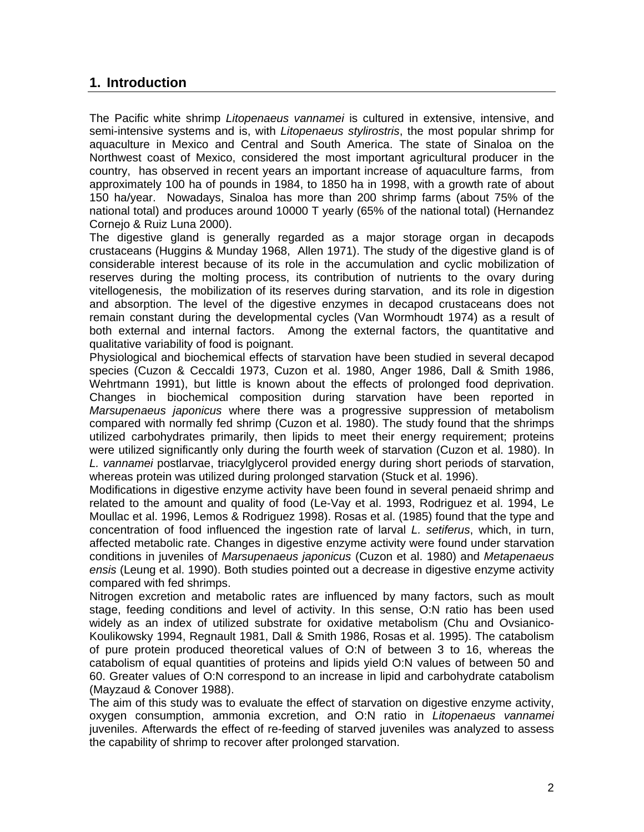# **1. Introduction**

The Pacific white shrimp *Litopenaeus vannamei* is cultured in extensive, intensive, and semi-intensive systems and is, with *Litopenaeus stylirostris*, the most popular shrimp for aquaculture in Mexico and Central and South America. The state of Sinaloa on the Northwest coast of Mexico, considered the most important agricultural producer in the country, has observed in recent years an important increase of aquaculture farms, from approximately 100 ha of pounds in 1984, to 1850 ha in 1998, with a growth rate of about 150 ha/year. Nowadays, Sinaloa has more than 200 shrimp farms (about 75% of the national total) and produces around 10000 T yearly (65% of the national total) (Hernandez Cornejo & Ruiz Luna 2000).

The digestive gland is generally regarded as a major storage organ in decapods crustaceans (Huggins & Munday 1968, Allen 1971). The study of the digestive gland is of considerable interest because of its role in the accumulation and cyclic mobilization of reserves during the molting process, its contribution of nutrients to the ovary during vitellogenesis, the mobilization of its reserves during starvation, and its role in digestion and absorption. The level of the digestive enzymes in decapod crustaceans does not remain constant during the developmental cycles (Van Wormhoudt 1974) as a result of both external and internal factors. Among the external factors, the quantitative and qualitative variability of food is poignant.

Physiological and biochemical effects of starvation have been studied in several decapod species (Cuzon & Ceccaldi 1973, Cuzon et al. 1980, Anger 1986, Dall & Smith 1986, Wehrtmann 1991), but little is known about the effects of prolonged food deprivation. Changes in biochemical composition during starvation have been reported in *Marsupenaeus japonicus* where there was a progressive suppression of metabolism compared with normally fed shrimp (Cuzon et al. 1980). The study found that the shrimps utilized carbohydrates primarily, then lipids to meet their energy requirement; proteins were utilized significantly only during the fourth week of starvation (Cuzon et al. 1980). In *L. vannamei* postlarvae, triacylglycerol provided energy during short periods of starvation, whereas protein was utilized during prolonged starvation (Stuck et al. 1996).

Modifications in digestive enzyme activity have been found in several penaeid shrimp and related to the amount and quality of food (Le-Vay et al. 1993, Rodriguez et al. 1994, Le Moullac et al. 1996, Lemos & Rodriguez 1998). Rosas et al. (1985) found that the type and concentration of food influenced the ingestion rate of larval *L. setiferus*, which, in turn, affected metabolic rate. Changes in digestive enzyme activity were found under starvation conditions in juveniles of *Marsupenaeus japonicus* (Cuzon et al. 1980) and *Metapenaeus ensis* (Leung et al. 1990). Both studies pointed out a decrease in digestive enzyme activity compared with fed shrimps.

Nitrogen excretion and metabolic rates are influenced by many factors, such as moult stage, feeding conditions and level of activity. In this sense, O:N ratio has been used widely as an index of utilized substrate for oxidative metabolism (Chu and Ovsianico-Koulikowsky 1994, Regnault 1981, Dall & Smith 1986, Rosas et al. 1995). The catabolism of pure protein produced theoretical values of O:N of between 3 to 16, whereas the catabolism of equal quantities of proteins and lipids yield O:N values of between 50 and 60. Greater values of O:N correspond to an increase in lipid and carbohydrate catabolism (Mayzaud & Conover 1988).

The aim of this study was to evaluate the effect of starvation on digestive enzyme activity, oxygen consumption, ammonia excretion, and O:N ratio in *Litopenaeus vannamei* juveniles. Afterwards the effect of re-feeding of starved juveniles was analyzed to assess the capability of shrimp to recover after prolonged starvation.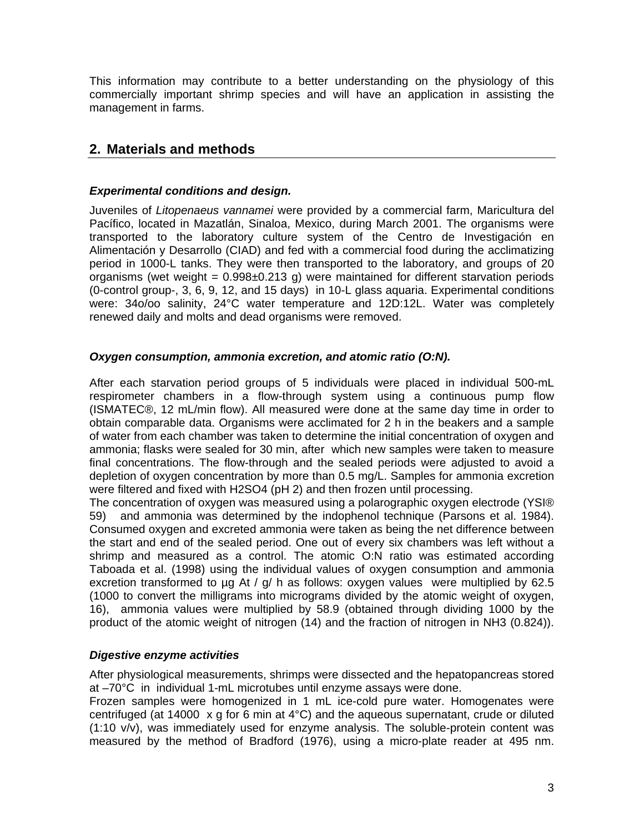This information may contribute to a better understanding on the physiology of this commercially important shrimp species and will have an application in assisting the management in farms.

# **2. Materials and methods**

#### *Experimental conditions and design.*

Juveniles of *Litopenaeus vannamei* were provided by a commercial farm, Maricultura del Pacífico, located in Mazatlán, Sinaloa, Mexico, during March 2001. The organisms were transported to the laboratory culture system of the Centro de Investigación en Alimentación y Desarrollo (CIAD) and fed with a commercial food during the acclimatizing period in 1000-L tanks. They were then transported to the laboratory, and groups of 20 organisms (wet weight =  $0.998\pm0.213$  g) were maintained for different starvation periods (0-control group-, 3, 6, 9, 12, and 15 days) in 10-L glass aquaria. Experimental conditions were: 34o/oo salinity, 24°C water temperature and 12D:12L. Water was completely renewed daily and molts and dead organisms were removed.

#### *Oxygen consumption, ammonia excretion, and atomic ratio (O:N).*

After each starvation period groups of 5 individuals were placed in individual 500-mL respirometer chambers in a flow-through system using a continuous pump flow (ISMATEC®, 12 mL/min flow). All measured were done at the same day time in order to obtain comparable data. Organisms were acclimated for 2 h in the beakers and a sample of water from each chamber was taken to determine the initial concentration of oxygen and ammonia; flasks were sealed for 30 min, after which new samples were taken to measure final concentrations. The flow-through and the sealed periods were adjusted to avoid a depletion of oxygen concentration by more than 0.5 mg/L. Samples for ammonia excretion were filtered and fixed with H2SO4 (pH 2) and then frozen until processing.

The concentration of oxygen was measured using a polarographic oxygen electrode (YSI® 59) and ammonia was determined by the indophenol technique (Parsons et al. 1984). Consumed oxygen and excreted ammonia were taken as being the net difference between the start and end of the sealed period. One out of every six chambers was left without a shrimp and measured as a control. The atomic O:N ratio was estimated according Taboada et al. (1998) using the individual values of oxygen consumption and ammonia excretion transformed to  $\mu q$  At /  $q$ / h as follows: oxygen values were multiplied by 62.5 (1000 to convert the milligrams into micrograms divided by the atomic weight of oxygen, 16), ammonia values were multiplied by 58.9 (obtained through dividing 1000 by the product of the atomic weight of nitrogen (14) and the fraction of nitrogen in NH3 (0.824)).

#### *Digestive enzyme activities*

After physiological measurements, shrimps were dissected and the hepatopancreas stored at –70°C in individual 1-mL microtubes until enzyme assays were done.

Frozen samples were homogenized in 1 mL ice-cold pure water. Homogenates were centrifuged (at 14000 x g for 6 min at 4°C) and the aqueous supernatant, crude or diluted (1:10 v/v), was immediately used for enzyme analysis. The soluble-protein content was measured by the method of Bradford (1976), using a micro-plate reader at 495 nm.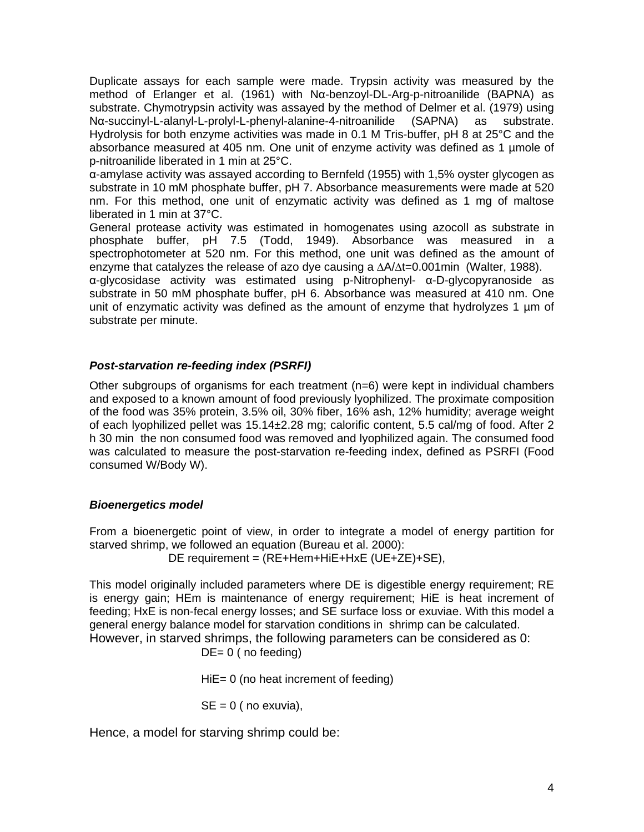Duplicate assays for each sample were made. Trypsin activity was measured by the method of Erlanger et al. (1961) with Nα-benzoyl-DL-Arg-p-nitroanilide (BAPNA) as substrate. Chymotrypsin activity was assayed by the method of Delmer et al. (1979) using Nα-succinyl-L-alanyl-L-prolyl-L-phenyl-alanine-4-nitroanilide (SAPNA) as substrate. Hydrolysis for both enzyme activities was made in 0.1 M Tris-buffer, pH 8 at 25°C and the absorbance measured at 405 nm. One unit of enzyme activity was defined as 1 umole of p-nitroanilide liberated in 1 min at 25°C.

α-amylase activity was assayed according to Bernfeld (1955) with 1,5% oyster glycogen as substrate in 10 mM phosphate buffer, pH 7. Absorbance measurements were made at 520 nm. For this method, one unit of enzymatic activity was defined as 1 mg of maltose liberated in 1 min at 37°C.

General protease activity was estimated in homogenates using azocoll as substrate in phosphate buffer, pH 7.5 (Todd, 1949). Absorbance was measured in a spectrophotometer at 520 nm. For this method, one unit was defined as the amount of enzyme that catalyzes the release of azo dye causing a ∆A/∆t=0.001min (Walter, 1988).

α-glycosidase activity was estimated using p-Nitrophenyl- α-D-glycopyranoside as substrate in 50 mM phosphate buffer, pH 6. Absorbance was measured at 410 nm. One unit of enzymatic activity was defined as the amount of enzyme that hydrolyzes 1 um of substrate per minute.

## *Post-starvation re-feeding index (PSRFI)*

Other subgroups of organisms for each treatment (n=6) were kept in individual chambers and exposed to a known amount of food previously lyophilized. The proximate composition of the food was 35% protein, 3.5% oil, 30% fiber, 16% ash, 12% humidity; average weight of each lyophilized pellet was 15.14±2.28 mg; calorific content, 5.5 cal/mg of food. After 2 h 30 min the non consumed food was removed and lyophilized again. The consumed food was calculated to measure the post-starvation re-feeding index, defined as PSRFI (Food consumed W/Body W).

## *Bioenergetics model*

From a bioenergetic point of view, in order to integrate a model of energy partition for starved shrimp, we followed an equation (Bureau et al. 2000):

DE requirement = (RE+Hem+HiE+HxE (UE+ZE)+SE),

This model originally included parameters where DE is digestible energy requirement; RE is energy gain; HEm is maintenance of energy requirement; HiE is heat increment of feeding; HxE is non-fecal energy losses; and SE surface loss or exuviae. With this model a general energy balance model for starvation conditions in shrimp can be calculated. However, in starved shrimps, the following parameters can be considered as 0:

DE= 0 ( no feeding)

HiE= 0 (no heat increment of feeding)

 $SE = 0$  ( no exuvia),

Hence, a model for starving shrimp could be: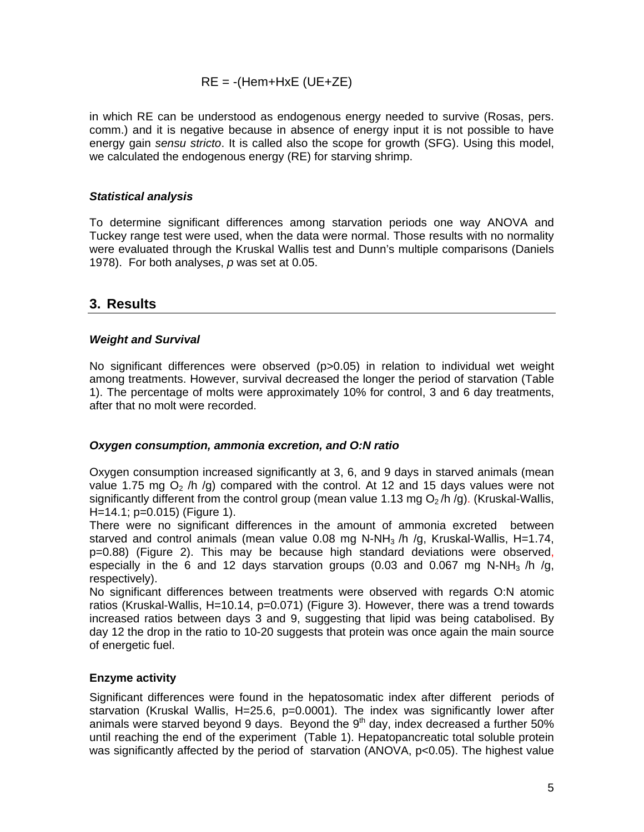## $RE = -(Hem+HxE (UE+ZE))$

in which RE can be understood as endogenous energy needed to survive (Rosas, pers. comm.) and it is negative because in absence of energy input it is not possible to have energy gain *sensu stricto*. It is called also the scope for growth (SFG). Using this model, we calculated the endogenous energy (RE) for starving shrimp.

## *Statistical analysis*

To determine significant differences among starvation periods one way ANOVA and Tuckey range test were used, when the data were normal. Those results with no normality were evaluated through the Kruskal Wallis test and Dunn's multiple comparisons (Daniels 1978). For both analyses, *p* was set at 0.05.

## **3. Results**

## *Weight and Survival*

No significant differences were observed (p>0.05) in relation to individual wet weight among treatments. However, survival decreased the longer the period of starvation (Table 1). The percentage of molts were approximately 10% for control, 3 and 6 day treatments, after that no molt were recorded.

## *Oxygen consumption, ammonia excretion, and O:N ratio*

Oxygen consumption increased significantly at 3, 6, and 9 days in starved animals (mean value 1.75 mg  $O<sub>2</sub>$  /h /g) compared with the control. At 12 and 15 days values were not significantly different from the control group (mean value 1.13 mg  $O<sub>2</sub>/h$  /g). (Kruskal-Wallis, H=14.1; p=0.015) (Figure 1).

There were no significant differences in the amount of ammonia excreted between starved and control animals (mean value 0.08 mg N-NH $_3$ /h /g, Kruskal-Wallis, H=1.74, p=0.88) (Figure 2). This may be because high standard deviations were observed, especially in the 6 and 12 days starvation groups (0.03 and 0.067 mg N-NH<sub>3</sub> /h /g, respectively).

No significant differences between treatments were observed with regards O:N atomic ratios (Kruskal-Wallis, H=10.14, p=0.071) (Figure 3). However, there was a trend towards increased ratios between days 3 and 9, suggesting that lipid was being catabolised. By day 12 the drop in the ratio to 10-20 suggests that protein was once again the main source of energetic fuel.

## **Enzyme activity**

Significant differences were found in the hepatosomatic index after different periods of starvation (Kruskal Wallis, H=25.6, p=0.0001). The index was significantly lower after animals were starved beyond 9 days. Beyond the  $9<sup>th</sup>$  day, index decreased a further 50% until reaching the end of the experiment (Table 1). Hepatopancreatic total soluble protein was significantly affected by the period of starvation (ANOVA, p<0.05). The highest value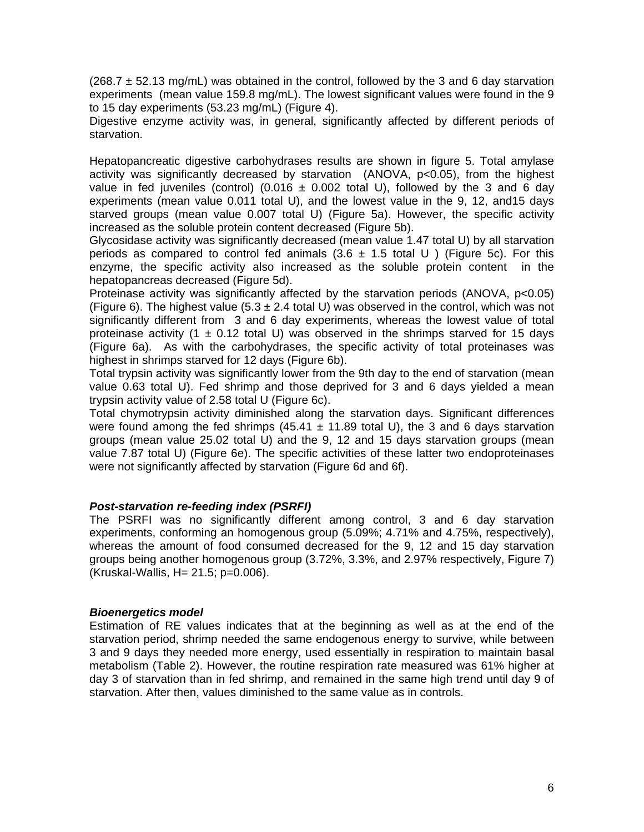$(268.7 \pm 52.13 \text{ mg/mL})$  was obtained in the control, followed by the 3 and 6 day starvation experiments (mean value 159.8 mg/mL). The lowest significant values were found in the 9 to 15 day experiments (53.23 mg/mL) (Figure 4).

Digestive enzyme activity was, in general, significantly affected by different periods of starvation.

Hepatopancreatic digestive carbohydrases results are shown in figure 5. Total amylase activity was significantly decreased by starvation (ANOVA, p<0.05), from the highest value in fed juveniles (control) (0.016  $\pm$  0.002 total U), followed by the 3 and 6 day experiments (mean value 0.011 total U), and the lowest value in the 9, 12, and15 days starved groups (mean value 0.007 total U) (Figure 5a). However, the specific activity increased as the soluble protein content decreased (Figure 5b).

Glycosidase activity was significantly decreased (mean value 1.47 total U) by all starvation periods as compared to control fed animals  $(3.6 \pm 1.5 \text{ total U})$  (Figure 5c). For this enzyme, the specific activity also increased as the soluble protein content in the hepatopancreas decreased (Figure 5d).

Proteinase activity was significantly affected by the starvation periods (ANOVA, p<0.05) (Figure 6). The highest value (5.3  $\pm$  2.4 total U) was observed in the control, which was not significantly different from 3 and 6 day experiments, whereas the lowest value of total proteinase activity (1  $\pm$  0.12 total U) was observed in the shrimps starved for 15 days (Figure 6a). As with the carbohydrases, the specific activity of total proteinases was highest in shrimps starved for 12 days (Figure 6b).

Total trypsin activity was significantly lower from the 9th day to the end of starvation (mean value 0.63 total U). Fed shrimp and those deprived for 3 and 6 days yielded a mean trypsin activity value of 2.58 total U (Figure 6c).

Total chymotrypsin activity diminished along the starvation days. Significant differences were found among the fed shrimps (45.41  $\pm$  11.89 total U), the 3 and 6 days starvation groups (mean value 25.02 total U) and the 9, 12 and 15 days starvation groups (mean value 7.87 total U) (Figure 6e). The specific activities of these latter two endoproteinases were not significantly affected by starvation (Figure 6d and 6f).

## *Post-starvation re-feeding index (PSRFI)*

The PSRFI was no significantly different among control, 3 and 6 day starvation experiments, conforming an homogenous group (5.09%; 4.71% and 4.75%, respectively), whereas the amount of food consumed decreased for the 9, 12 and 15 day starvation groups being another homogenous group (3.72%, 3.3%, and 2.97% respectively, Figure 7) (Kruskal-Wallis, H= 21.5; p=0.006).

#### *Bioenergetics model*

Estimation of RE values indicates that at the beginning as well as at the end of the starvation period, shrimp needed the same endogenous energy to survive, while between 3 and 9 days they needed more energy, used essentially in respiration to maintain basal metabolism (Table 2). However, the routine respiration rate measured was 61% higher at day 3 of starvation than in fed shrimp, and remained in the same high trend until day 9 of starvation. After then, values diminished to the same value as in controls.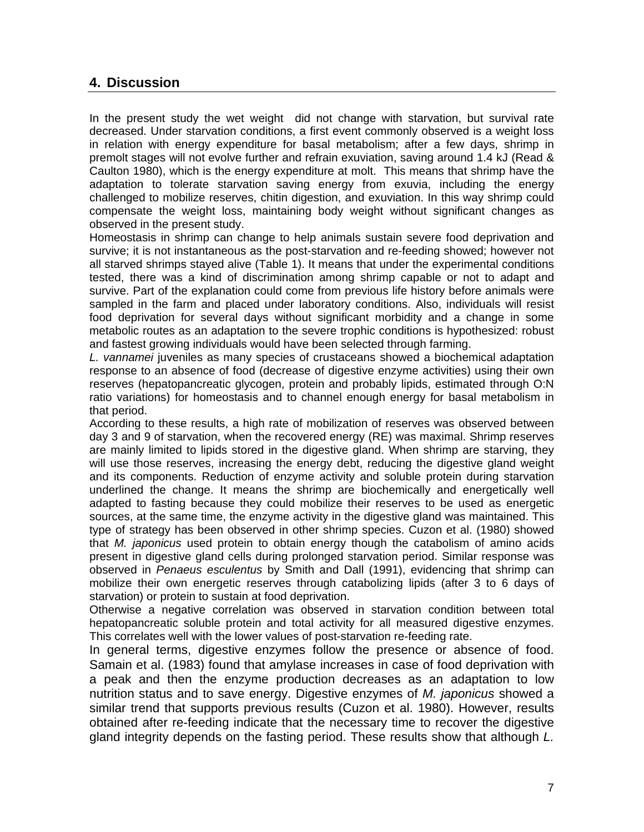# **4. Discussion**

In the present study the wet weight did not change with starvation, but survival rate decreased. Under starvation conditions, a first event commonly observed is a weight loss in relation with energy expenditure for basal metabolism; after a few days, shrimp in premolt stages will not evolve further and refrain exuviation, saving around 1.4 kJ (Read & Caulton 1980), which is the energy expenditure at molt. This means that shrimp have the adaptation to tolerate starvation saving energy from exuvia, including the energy challenged to mobilize reserves, chitin digestion, and exuviation. In this way shrimp could compensate the weight loss, maintaining body weight without significant changes as observed in the present study.

Homeostasis in shrimp can change to help animals sustain severe food deprivation and survive; it is not instantaneous as the post-starvation and re-feeding showed; however not all starved shrimps stayed alive (Table 1). It means that under the experimental conditions tested, there was a kind of discrimination among shrimp capable or not to adapt and survive. Part of the explanation could come from previous life history before animals were sampled in the farm and placed under laboratory conditions. Also, individuals will resist food deprivation for several days without significant morbidity and a change in some metabolic routes as an adaptation to the severe trophic conditions is hypothesized: robust and fastest growing individuals would have been selected through farming.

*L. vannamei* juveniles as many species of crustaceans showed a biochemical adaptation response to an absence of food (decrease of digestive enzyme activities) using their own reserves (hepatopancreatic glycogen, protein and probably lipids, estimated through O:N ratio variations) for homeostasis and to channel enough energy for basal metabolism in that period.

According to these results, a high rate of mobilization of reserves was observed between day 3 and 9 of starvation, when the recovered energy (RE) was maximal. Shrimp reserves are mainly limited to lipids stored in the digestive gland. When shrimp are starving, they will use those reserves, increasing the energy debt, reducing the digestive gland weight and its components. Reduction of enzyme activity and soluble protein during starvation underlined the change. It means the shrimp are biochemically and energetically well adapted to fasting because they could mobilize their reserves to be used as energetic sources, at the same time, the enzyme activity in the digestive gland was maintained. This type of strategy has been observed in other shrimp species. Cuzon et al. (1980) showed that *M. japonicus* used protein to obtain energy though the catabolism of amino acids present in digestive gland cells during prolonged starvation period. Similar response was observed in *Penaeus esculentus* by Smith and Dall (1991), evidencing that shrimp can mobilize their own energetic reserves through catabolizing lipids (after 3 to 6 days of starvation) or protein to sustain at food deprivation.

Otherwise a negative correlation was observed in starvation condition between total hepatopancreatic soluble protein and total activity for all measured digestive enzymes. This correlates well with the lower values of post-starvation re-feeding rate.

In general terms, digestive enzymes follow the presence or absence of food. Samain et al. (1983) found that amylase increases in case of food deprivation with a peak and then the enzyme production decreases as an adaptation to low nutrition status and to save energy. Digestive enzymes of *M. japonicus* showed a similar trend that supports previous results (Cuzon et al. 1980). However, results obtained after re-feeding indicate that the necessary time to recover the digestive gland integrity depends on the fasting period. These results show that although *L.*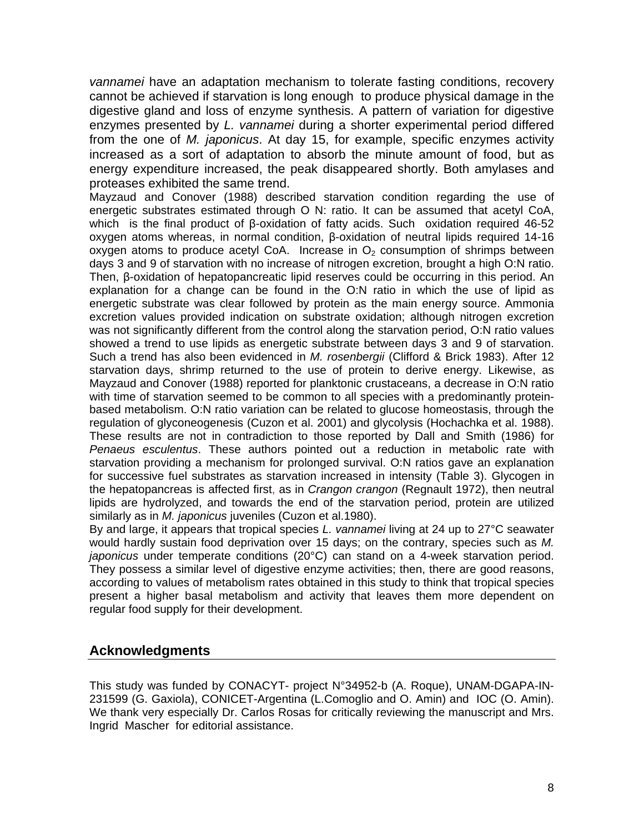*vannamei* have an adaptation mechanism to tolerate fasting conditions, recovery cannot be achieved if starvation is long enough to produce physical damage in the digestive gland and loss of enzyme synthesis. A pattern of variation for digestive enzymes presented by *L. vannamei* during a shorter experimental period differed from the one of *M. japonicus*. At day 15, for example, specific enzymes activity increased as a sort of adaptation to absorb the minute amount of food, but as energy expenditure increased, the peak disappeared shortly. Both amylases and proteases exhibited the same trend.

Mayzaud and Conover (1988) described starvation condition regarding the use of energetic substrates estimated through O N: ratio. It can be assumed that acetyl CoA, which is the final product of β-oxidation of fatty acids. Such oxidation required 46-52 oxygen atoms whereas, in normal condition, β-oxidation of neutral lipids required 14-16 oxygen atoms to produce acetyl CoA. Increase in  $O<sub>2</sub>$  consumption of shrimps between days 3 and 9 of starvation with no increase of nitrogen excretion, brought a high O:N ratio. Then, β-oxidation of hepatopancreatic lipid reserves could be occurring in this period. An explanation for a change can be found in the O:N ratio in which the use of lipid as energetic substrate was clear followed by protein as the main energy source. Ammonia excretion values provided indication on substrate oxidation; although nitrogen excretion was not significantly different from the control along the starvation period, O:N ratio values showed a trend to use lipids as energetic substrate between days 3 and 9 of starvation. Such a trend has also been evidenced in *M. rosenbergii* (Clifford & Brick 1983). After 12 starvation days, shrimp returned to the use of protein to derive energy. Likewise, as Mayzaud and Conover (1988) reported for planktonic crustaceans, a decrease in O:N ratio with time of starvation seemed to be common to all species with a predominantly proteinbased metabolism. O:N ratio variation can be related to glucose homeostasis, through the regulation of glyconeogenesis (Cuzon et al. 2001) and glycolysis (Hochachka et al. 1988). These results are not in contradiction to those reported by Dall and Smith (1986) for *Penaeus esculentus*. These authors pointed out a reduction in metabolic rate with starvation providing a mechanism for prolonged survival. O:N ratios gave an explanation for successive fuel substrates as starvation increased in intensity (Table 3). Glycogen in the hepatopancreas is affected first, as in *Crangon crangon* (Regnault 1972), then neutral lipids are hydrolyzed, and towards the end of the starvation period, protein are utilized similarly as in *M. japonicus* juveniles (Cuzon et al.1980).

By and large, it appears that tropical species *L. vannamei* living at 24 up to 27°C seawater would hardly sustain food deprivation over 15 days; on the contrary, species such as *M. japonicus* under temperate conditions (20°C) can stand on a 4-week starvation period. They possess a similar level of digestive enzyme activities; then, there are good reasons, according to values of metabolism rates obtained in this study to think that tropical species present a higher basal metabolism and activity that leaves them more dependent on regular food supply for their development.

## **Acknowledgments**

This study was funded by CONACYT- project N°34952-b (A. Roque), UNAM-DGAPA-IN-231599 (G. Gaxiola), CONICET-Argentina (L.Comoglio and O. Amin) and IOC (O. Amin). We thank very especially Dr. Carlos Rosas for critically reviewing the manuscript and Mrs. Ingrid Mascher for editorial assistance.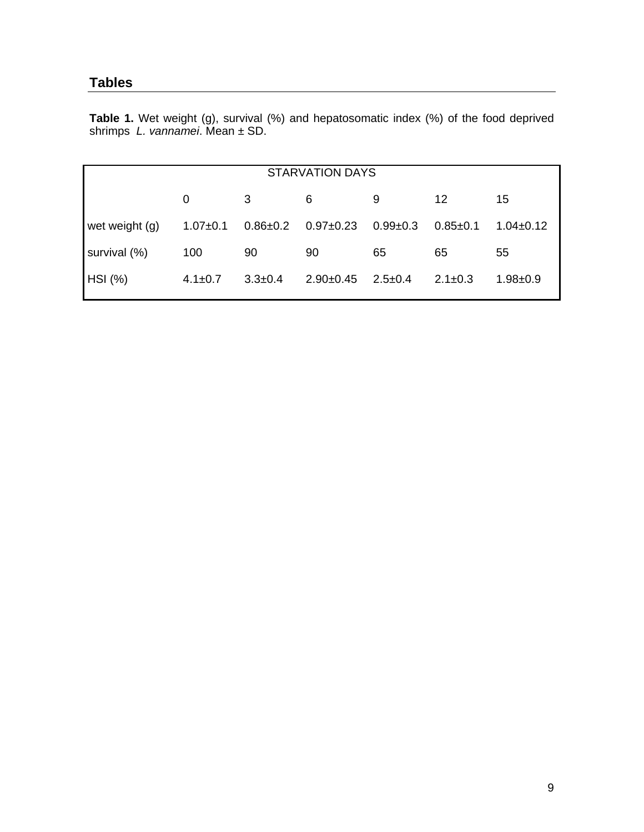# **Tables**

**Table 1.** Wet weight (g), survival (%) and hepatosomatic index (%) of the food deprived shrimps *L. vannamei*. Mean ± SD.

| <b>STARVATION DAYS</b> |                |                |                 |               |                |                 |  |
|------------------------|----------------|----------------|-----------------|---------------|----------------|-----------------|--|
|                        | 0              | 3              | 6               | 9             | 12             | 15              |  |
| wet weight (g)         | $1.07 \pm 0.1$ | $0.86 \pm 0.2$ | $0.97 \pm 0.23$ | $0.99 + 0.3$  | $0.85 \pm 0.1$ | $1.04 \pm 0.12$ |  |
| survival (%)           | 100            | 90             | 90              | 65            | 65             | 55              |  |
| HSI (%)                | $4.1 \pm 0.7$  | $3.3 \pm 0.4$  | $2.90+0.45$     | $2.5 \pm 0.4$ | $2.1 \pm 0.3$  | $1.98 + 0.9$    |  |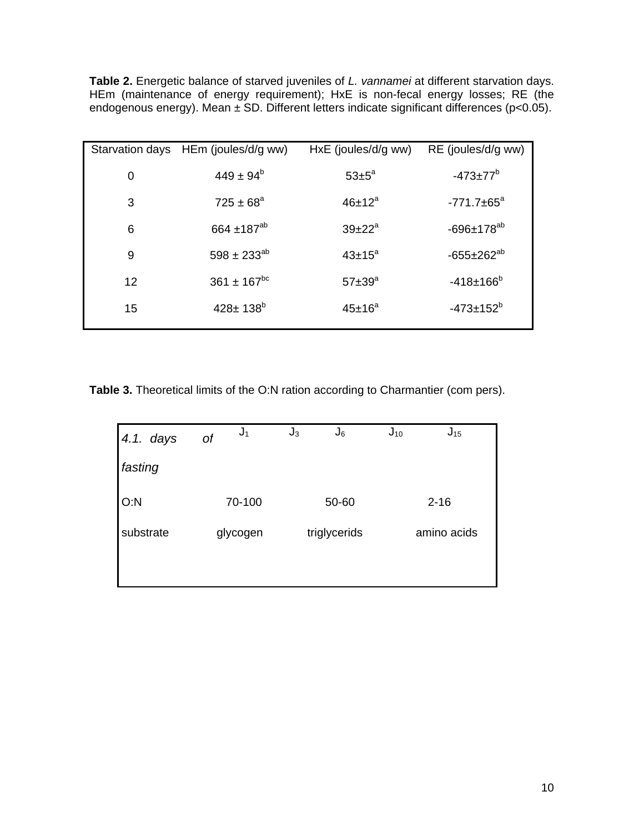**Table 2.** Energetic balance of starved juveniles of *L. vannamei* at different starvation days. HEm (maintenance of energy requirement); HxE is non-fecal energy losses; RE (the endogenous energy). Mean ± SD. Different letters indicate significant differences (p<0.05).

|    | Starvation days HEm (joules/d/g ww) | HxE (joules/d/g ww) | RE (joules/d/g ww)      |
|----|-------------------------------------|---------------------|-------------------------|
| 0  | $449 \pm 94^b$                      | $53 \pm 5^{\circ}$  | $-473+77^{b}$           |
| 3  | $725 \pm 68^a$                      | $46\pm12^a$         | $-771.7 \pm 65^{\circ}$ |
| 6  | 664 $\pm$ 187 <sup>ab</sup>         | $39 + 22^{a}$       | $-696 \pm 178^{ab}$     |
| 9  | $598 \pm 233^{ab}$                  | $43\pm15^a$         | $-655 \pm 262^{ab}$     |
| 12 | $361 \pm 167^{bc}$                  | $57 + 39^{\circ}$   | $-418+166^{b}$          |
| 15 | $428 \pm 138$ <sup>b</sup>          | $45\pm16^a$         | $-473 \pm 152^b$        |

**Table 3.** Theoretical limits of the O:N ration according to Charmantier (com pers).

| 4.1. days | $J_1$<br>оt | $J_3$<br>$J_6$ | $J_{10}$<br>$J_{15}$ |
|-----------|-------------|----------------|----------------------|
| fasting   |             |                |                      |
| O: N      | 70-100      | 50-60          | $2 - 16$             |
| substrate | glycogen    | triglycerids   | amino acids          |
|           |             |                |                      |
|           |             |                |                      |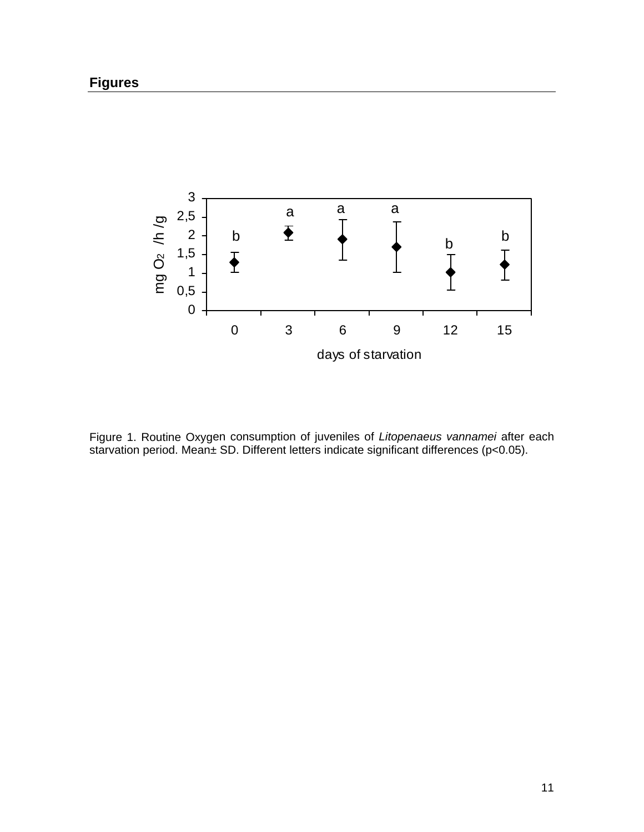

Figure 1. Routine Oxygen consumption of juveniles of *Litopenaeus vannamei* after each starvation period. Mean± SD. Different letters indicate significant differences (p<0.05).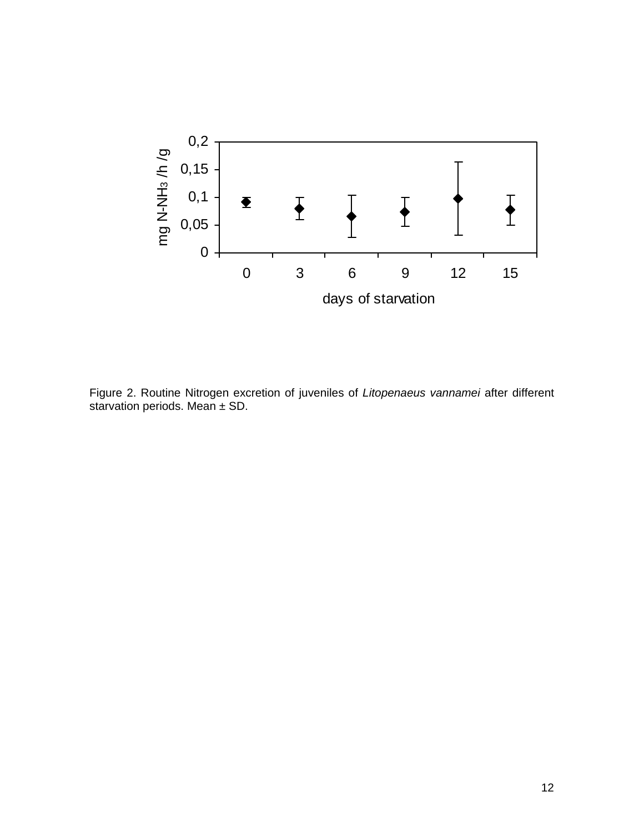

Figure 2. Routine Nitrogen excretion of juveniles of *Litopenaeus vannamei* after different starvation periods. Mean ± SD.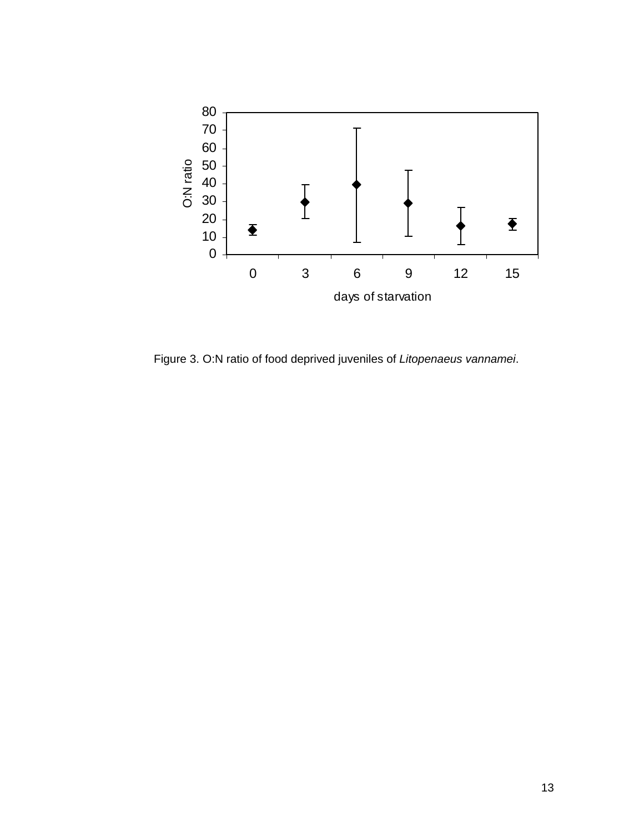

Figure 3. O:N ratio of food deprived juveniles of *Litopenaeus vannamei*.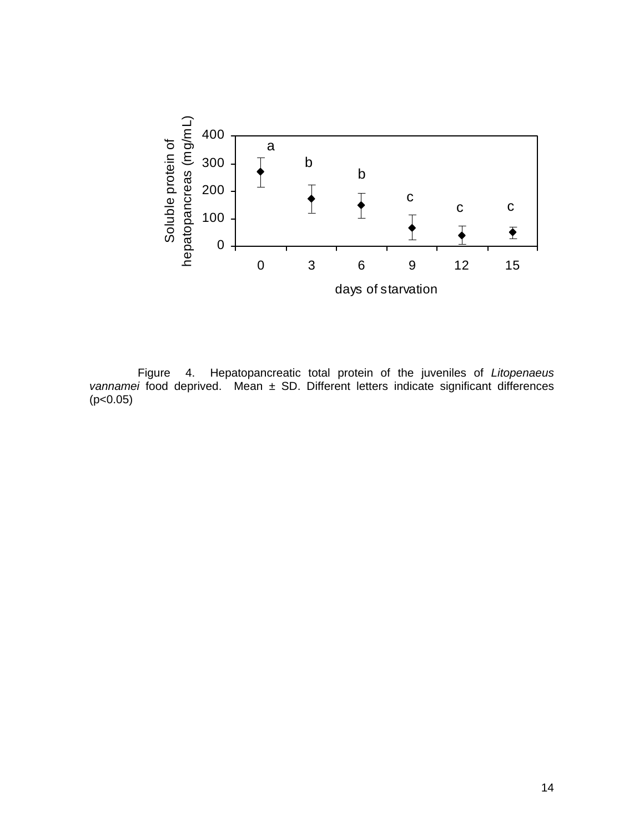

 Figure 4. Hepatopancreatic total protein of the juveniles of *Litopenaeus vannamei* food deprived. Mean ± SD. Different letters indicate significant differences  $(p<0.05)$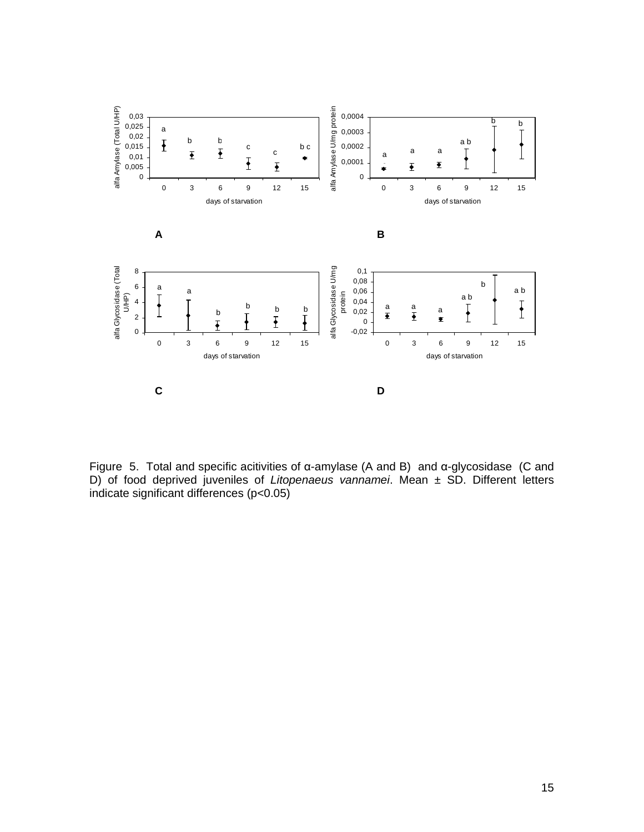

Figure 5. Total and specific acitivities of α-amylase (A and B) and α-glycosidase (C and D) of food deprived juveniles of *Litopenaeus vannamei*. Mean ± SD. Different letters indicate significant differences (p<0.05)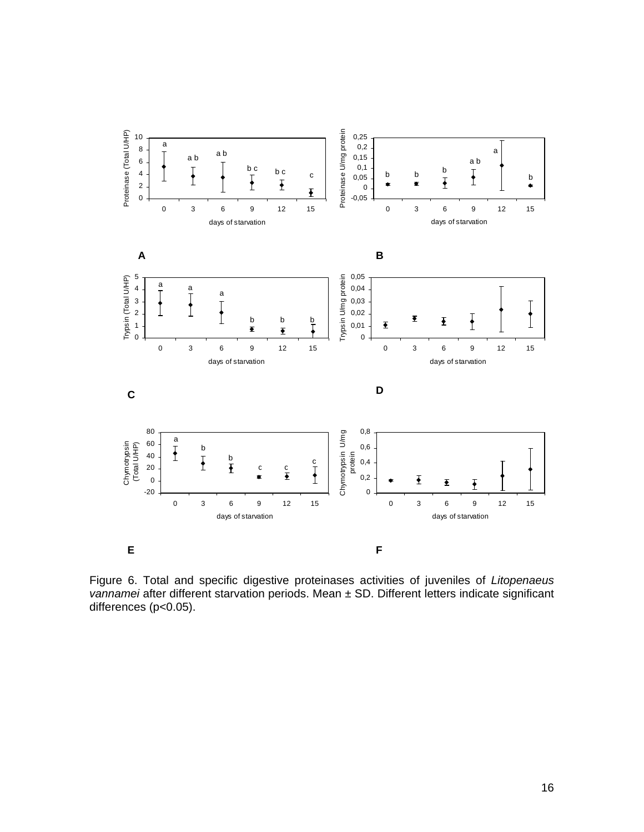

Figure 6. Total and specific digestive proteinases activities of juveniles of *Litopenaeus vannamei* after different starvation periods. Mean ± SD. Different letters indicate significant differences (p<0.05).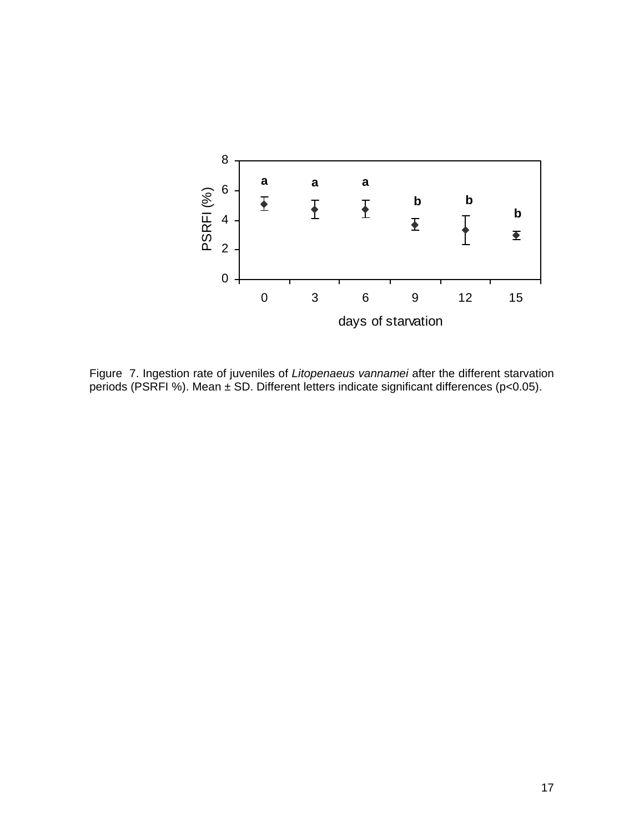

Figure 7. Ingestion rate of juveniles of *Litopenaeus vannamei* after the different starvation periods (PSRFI %). Mean ± SD. Different letters indicate significant differences (p<0.05).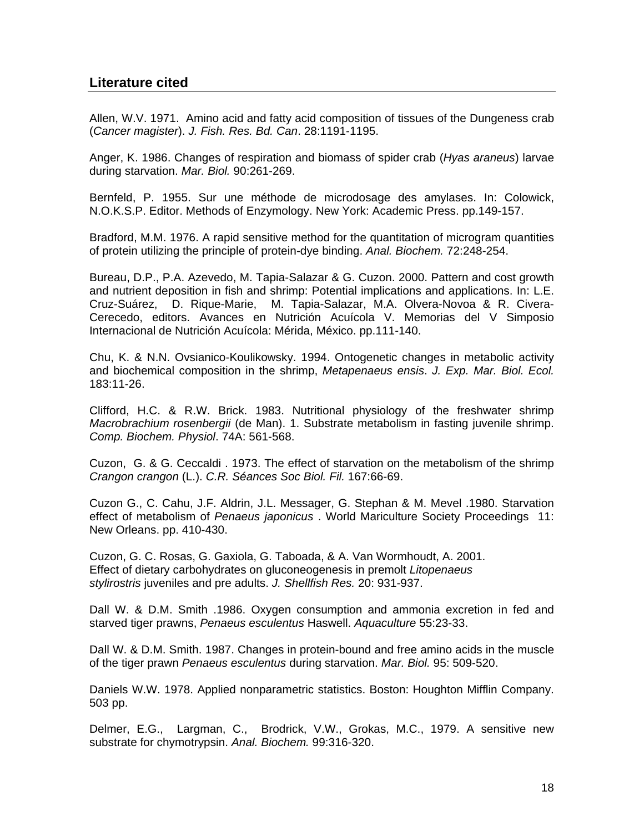## **Literature cited**

Allen, W.V. 1971. Amino acid and fatty acid composition of tissues of the Dungeness crab (*Cancer magister*). *J. Fish. Res. Bd. Can*. 28:1191-1195.

Anger, K. 1986. Changes of respiration and biomass of spider crab (*Hyas araneus*) larvae during starvation. *Mar. Biol.* 90:261-269.

Bernfeld, P. 1955. Sur une méthode de microdosage des amylases. In: Colowick, N.O.K.S.P. Editor. Methods of Enzymology. New York: Academic Press. pp.149-157.

Bradford, M.M. 1976. A rapid sensitive method for the quantitation of microgram quantities of protein utilizing the principle of protein-dye binding. *Anal. Biochem.* 72:248-254.

Bureau, D.P., P.A. Azevedo, M. Tapia-Salazar & G. Cuzon. 2000. Pattern and cost growth and nutrient deposition in fish and shrimp: Potential implications and applications. In: L.E. Cruz-Suárez, D. Rique-Marie, M. Tapia-Salazar, M.A. Olvera-Novoa & R. Civera-Cerecedo, editors. Avances en Nutrición Acuícola V. Memorias del V Simposio Internacional de Nutrición Acuícola: Mérida, México. pp.111-140.

Chu, K. & N.N. Ovsianico-Koulikowsky. 1994. Ontogenetic changes in metabolic activity and biochemical composition in the shrimp, *Metapenaeus ensis*. *J. Exp. Mar. Biol. Ecol.* 183:11-26.

Clifford, H.C. & R.W. Brick. 1983. Nutritional physiology of the freshwater shrimp *Macrobrachium rosenbergii* (de Man). 1. Substrate metabolism in fasting juvenile shrimp. *Comp. Biochem. Physiol*. 74A: 561-568.

Cuzon, G. & G. Ceccaldi . 1973. The effect of starvation on the metabolism of the shrimp *Crangon crangon* (L.). *C.R. Séances Soc Biol. Fil.* 167:66-69.

Cuzon G., C. Cahu, J.F. Aldrin, J.L. Messager, G. Stephan & M. Mevel .1980. Starvation effect of metabolism of *Penaeus japonicus* . World Mariculture Society Proceedings 11: New Orleans. pp. 410-430.

Cuzon, G. C. Rosas, G. Gaxiola, G. Taboada, & A. Van Wormhoudt, A. 2001. Effect of dietary carbohydrates on gluconeogenesis in premolt *Litopenaeus stylirostris* juveniles and pre adults. *J. Shellfish Res.* 20: 931-937.

Dall W. & D.M. Smith .1986. Oxygen consumption and ammonia excretion in fed and starved tiger prawns, *Penaeus esculentus* Haswell. *Aquaculture* 55:23-33.

Dall W. & D.M. Smith. 1987. Changes in protein-bound and free amino acids in the muscle of the tiger prawn *Penaeus esculentus* during starvation. *Mar. Biol.* 95: 509-520.

Daniels W.W. 1978. Applied nonparametric statistics. Boston: Houghton Mifflin Company. 503 pp.

Delmer, E.G., Largman, C., Brodrick, V.W., Grokas, M.C., 1979. A sensitive new substrate for chymotrypsin. *Anal. Biochem.* 99:316-320.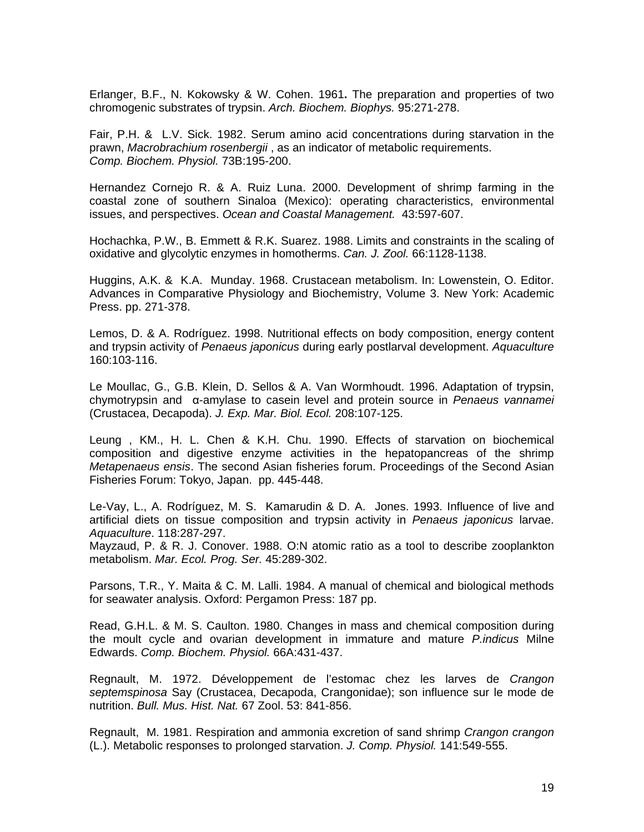Erlanger, B.F., N. Kokowsky & W. Cohen. 1961**.** The preparation and properties of two chromogenic substrates of trypsin. *Arch. Biochem. Biophys.* 95:271-278.

Fair, P.H. & L.V. Sick. 1982. Serum amino acid concentrations during starvation in the prawn, *Macrobrachium rosenbergii* , as an indicator of metabolic requirements. *Comp. Biochem. Physiol.* 73B:195-200.

Hernandez Cornejo R. & A. Ruiz Luna. 2000. Development of shrimp farming in the coastal zone of southern Sinaloa (Mexico): operating characteristics, environmental issues, and perspectives. *Ocean and Coastal Management.* 43:597-607.

Hochachka, P.W., B. Emmett & R.K. Suarez. 1988. Limits and constraints in the scaling of oxidative and glycolytic enzymes in homotherms. *Can. J. Zool.* 66:1128-1138.

Huggins, A.K. & K.A. Munday. 1968. Crustacean metabolism. In: Lowenstein, O. Editor. Advances in Comparative Physiology and Biochemistry, Volume 3. New York: Academic Press. pp. 271-378.

Lemos, D. & A. Rodríguez. 1998. Nutritional effects on body composition, energy content and trypsin activity of *Penaeus japonicus* during early postlarval development. *Aquaculture* 160:103-116.

Le Moullac, G., G.B. Klein, D. Sellos & A. Van Wormhoudt. 1996. Adaptation of trypsin, chymotrypsin and α-amylase to casein level and protein source in *Penaeus vannamei* (Crustacea, Decapoda). *J. Exp. Mar. Biol. Ecol.* 208:107-125.

Leung , KM., H. L. Chen & K.H. Chu. 1990. Effects of starvation on biochemical composition and digestive enzyme activities in the hepatopancreas of the shrimp *Metapenaeus ensis*. The second Asian fisheries forum. Proceedings of the Second Asian Fisheries Forum: Tokyo, Japan. pp. 445-448.

Le-Vay, L., A. Rodríguez, M. S. Kamarudin & D. A. Jones. 1993. Influence of live and artificial diets on tissue composition and trypsin activity in *Penaeus japonicus* larvae. *Aquaculture*. 118:287-297.

Mayzaud, P. & R. J. Conover. 1988. O:N atomic ratio as a tool to describe zooplankton metabolism. *Mar. Ecol. Prog. Ser.* 45:289-302.

Parsons, T.R., Y. Maita & C. M. Lalli. 1984. A manual of chemical and biological methods for seawater analysis. Oxford: Pergamon Press: 187 pp.

Read, G.H.L. & M. S. Caulton. 1980. Changes in mass and chemical composition during the moult cycle and ovarian development in immature and mature *P.indicus* Milne Edwards. *Comp. Biochem. Physiol.* 66A:431-437.

Regnault, M. 1972. Développement de l'estomac chez les larves de *Crangon septemspinosa* Say (Crustacea, Decapoda, Crangonidae); son influence sur le mode de nutrition. *Bull. Mus. Hist. Nat.* 67 Zool. 53: 841-856.

Regnault, M. 1981. Respiration and ammonia excretion of sand shrimp *Crangon crangon* (L.). Metabolic responses to prolonged starvation. *J. Comp. Physiol.* 141:549-555.